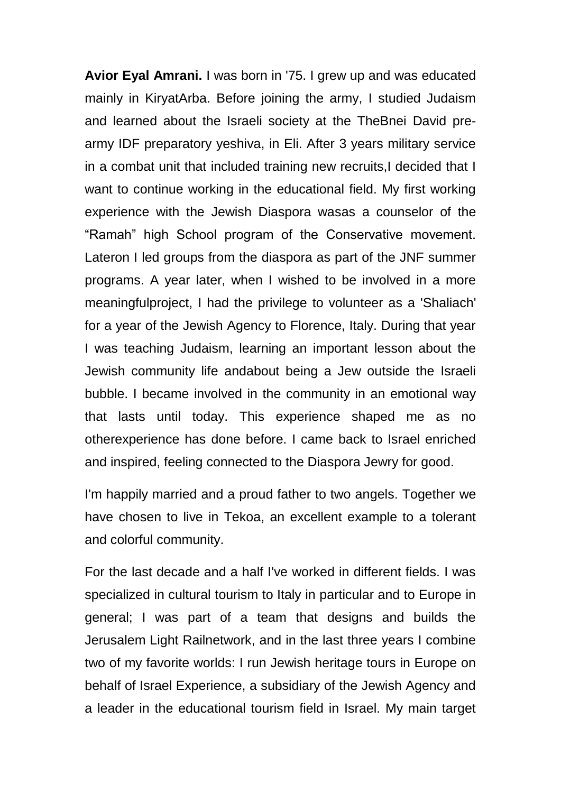**Avior Eyal Amrani.** I was born in '75. I grew up and was educated mainly in KiryatArba. Before joining the army, I studied Judaism and learned about the Israeli society at the TheBnei David prearmy IDF preparatory yeshiva, in Eli. After 3 years military service in a combat unit that included training new recruits, I decided that I want to continue working in the educational field. My first working experience with the Jewish Diaspora wasas a counselor of the "Ramah" high School program of the Conservative movement. Lateron I led groups from the diaspora as part of the JNF summer programs. A year later, when I wished to be involved in a more meaningfulproject, I had the privilege to volunteer as a 'Shaliach' for a year of the Jewish Agency to Florence, Italy. During that year I was teaching Judaism, learning an important lesson about the Jewish community life andabout being a Jew outside the Israeli bubble. I became involved in the community in an emotional way that lasts until today. This experience shaped me as no otherexperience has done before. I came back to Israel enriched and inspired, feeling connected to the Diaspora Jewry for good.

I'm happily married and a proud father to two angels. Together we have chosen to live in Tekoa, an excellent example to a tolerant and colorful community.

For the last decade and a half I've worked in different fields. I was specialized in cultural tourism to Italy in particular and to Europe in general; I was part of a team that designs and builds the Jerusalem Light Railnetwork, and in the last three years I combine two of my favorite worlds: I run Jewish heritage tours in Europe on behalf of Israel Experience, a subsidiary of the Jewish Agency and a leader in the educational tourism field in Israel. My main target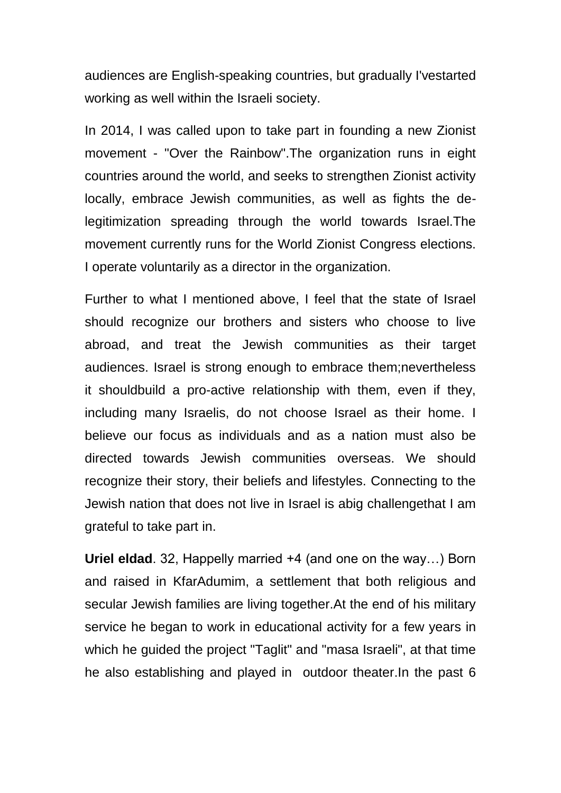audiences are English-speaking countries, but gradually I'vestarted working as well within the Israeli society.

In 2014, I was called upon to take part in founding a new Zionist movement - "Over the Rainbow".The organization runs in eight countries around the world, and seeks to strengthen Zionist activity locally, embrace Jewish communities, as well as fights the delegitimization spreading through the world towards Israel.The movement currently runs for the World Zionist Congress elections. I operate voluntarily as a director in the organization.

Further to what I mentioned above, I feel that the state of Israel should recognize our brothers and sisters who choose to live abroad, and treat the Jewish communities as their target audiences. Israel is strong enough to embrace them;nevertheless it shouldbuild a pro-active relationship with them, even if they, including many Israelis, do not choose Israel as their home. I believe our focus as individuals and as a nation must also be directed towards Jewish communities overseas. We should recognize their story, their beliefs and lifestyles. Connecting to the Jewish nation that does not live in Israel is abig challengethat I am grateful to take part in.

**Uriel eldad**. 32, Happelly married +4 (and one on the way…) Born and raised in KfarAdumim, a settlement that both religious and secular Jewish families are living together.At the end of his military service he began to work in educational activity for a few years in which he guided the project "Taglit" and "masa Israeli", at that time he also establishing and played in outdoor theater.In the past 6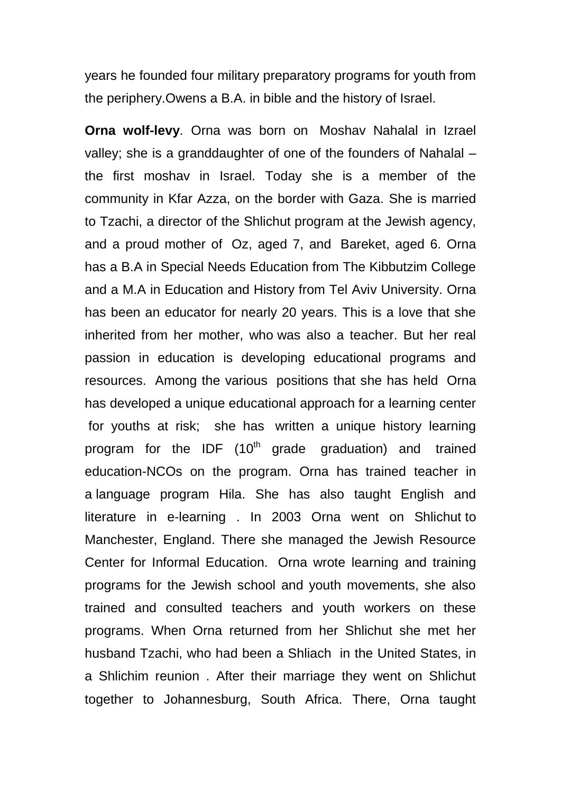years he founded four military preparatory programs for youth from the periphery.Owens a B.A. in bible and the history of Israel.

**Orna wolf-levy**. Orna was born on Moshav Nahalal in Izrael valley; she is a granddaughter of one of the founders of Nahalal – the first moshav in Israel. Today she is a member of the community in Kfar Azza, on the border with Gaza. She is married to Tzachi, a director of the Shlichut program at the Jewish agency, and a proud mother of Oz, aged 7, and Bareket, aged 6. Orna has a B.A in Special Needs Education from The Kibbutzim College and a M.A in Education and History from Tel Aviv University. Orna has been an educator for nearly 20 years. This is a love that she inherited from her mother, who was also a teacher. But her real passion in education is developing educational programs and resources. Among the various positions that she has held Orna has developed a unique educational approach for a learning center for youths at risk; she has written a unique history learning program for the IDF  $(10<sup>th</sup>$  grade graduation) and trained education-NCOs on the program. Orna has trained teacher in a language program Hila. She has also taught English and literature in e-learning . In 2003 Orna went on Shlichut to Manchester, England. There she managed the Jewish Resource Center for Informal Education. Orna wrote learning and training programs for the Jewish school and youth movements, she also trained and consulted teachers and youth workers on these programs. When Orna returned from her Shlichut she met her husband Tzachi, who had been a Shliach in the United States, in a Shlichim reunion . After their marriage they went on Shlichut together to Johannesburg, South Africa. There, Orna taught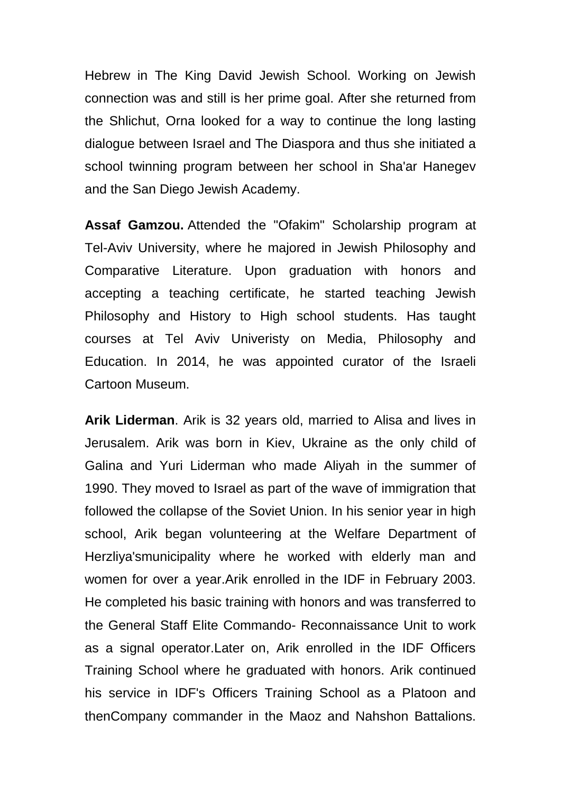Hebrew in The King David Jewish School. Working on Jewish connection was and still is her prime goal. After she returned from the Shlichut, Orna looked for a way to continue the long lasting dialogue between Israel and The Diaspora and thus she initiated a school twinning program between her school in Sha'ar Hanegev and the San Diego Jewish Academy.

**Assaf Gamzou.** Attended the "Ofakim" Scholarship program at Tel-Aviv University, where he majored in Jewish Philosophy and Comparative Literature. Upon graduation with honors and accepting a teaching certificate, he started teaching Jewish Philosophy and History to High school students. Has taught courses at Tel Aviv Univeristy on Media, Philosophy and Education. In 2014, he was appointed curator of the Israeli Cartoon Museum.

**Arik Liderman**. Arik is 32 years old, married to Alisa and lives in Jerusalem. Arik was born in Kiev, Ukraine as the only child of Galina and Yuri Liderman who made Aliyah in the summer of 1990. They moved to Israel as part of the wave of immigration that followed the collapse of the Soviet Union. In his senior year in high school, Arik began volunteering at the Welfare Department of Herzliya'smunicipality where he worked with elderly man and women for over a year.Arik enrolled in the IDF in February 2003. He completed his basic training with honors and was transferred to the General Staff Elite Commando- Reconnaissance Unit to work as a signal operator.Later on, Arik enrolled in the IDF Officers Training School where he graduated with honors. Arik continued his service in IDF's Officers Training School as a Platoon and thenCompany commander in the Maoz and Nahshon Battalions.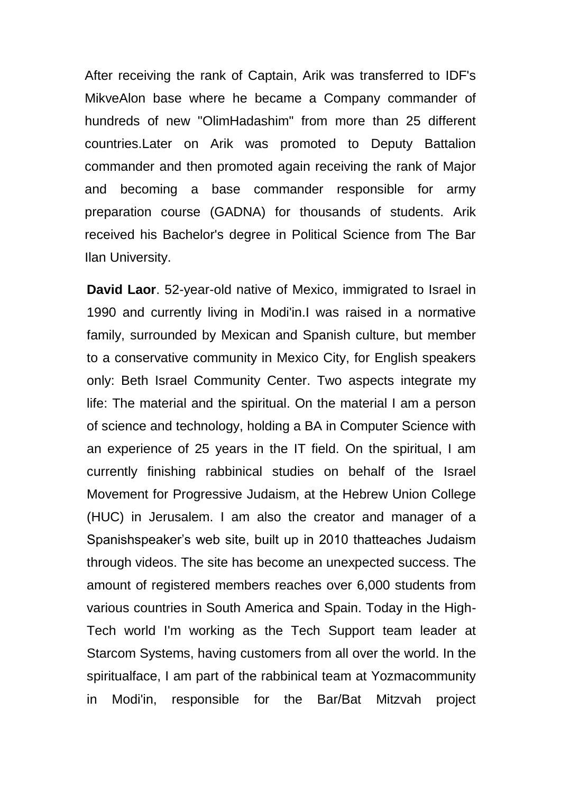After receiving the rank of Captain, Arik was transferred to IDF's MikveAlon base where he became a Company commander of hundreds of new "OlimHadashim" from more than 25 different countries.Later on Arik was promoted to Deputy Battalion commander and then promoted again receiving the rank of Major and becoming a base commander responsible for army preparation course (GADNA) for thousands of students. Arik received his Bachelor's degree in Political Science from The Bar Ilan University.

**David Laor**. 52-year-old native of Mexico, immigrated to Israel in 1990 and currently living in Modi'in.I was raised in a normative family, surrounded by Mexican and Spanish culture, but member to a conservative community in Mexico City, for English speakers only: Beth Israel Community Center. Two aspects integrate my life: The material and the spiritual. On the material I am a person of science and technology, holding a BA in Computer Science with an experience of 25 years in the IT field. On the spiritual, I am currently finishing rabbinical studies on behalf of the Israel Movement for Progressive Judaism, at the Hebrew Union College (HUC) in Jerusalem. I am also the creator and manager of a Spanishspeaker's web site, built up in 2010 thatteaches Judaism through videos. The site has become an unexpected success. The amount of registered members reaches over 6,000 students from various countries in South America and Spain. Today in the High-Tech world I'm working as the Tech Support team leader at Starcom Systems, having customers from all over the world. In the spiritualface, I am part of the rabbinical team at Yozmacommunity in Modi'in, responsible for the Bar/Bat Mitzvah project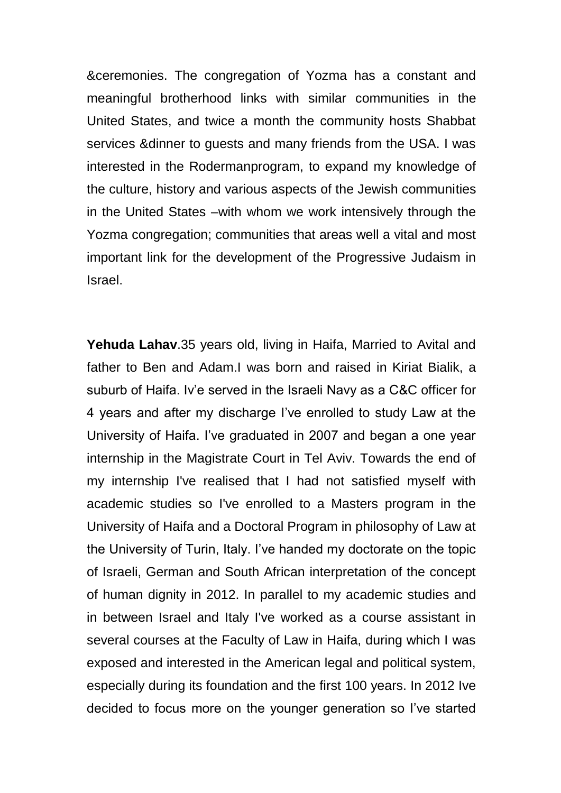&ceremonies. The congregation of Yozma has a constant and meaningful brotherhood links with similar communities in the United States, and twice a month the community hosts Shabbat services &dinner to guests and many friends from the USA. I was interested in the Rodermanprogram, to expand my knowledge of the culture, history and various aspects of the Jewish communities in the United States –with whom we work intensively through the Yozma congregation; communities that areas well a vital and most important link for the development of the Progressive Judaism in Israel.

**Yehuda Lahav**.35 years old, living in Haifa, Married to Avital and father to Ben and Adam.I was born and raised in Kiriat Bialik, a suburb of Haifa. Iv'e served in the Israeli Navy as a C&C officer for 4 years and after my discharge I've enrolled to study Law at the University of Haifa. I've graduated in 2007 and began a one year internship in the Magistrate Court in Tel Aviv. Towards the end of my internship I've realised that I had not satisfied myself with academic studies so I've enrolled to a Masters program in the University of Haifa and a Doctoral Program in philosophy of Law at the University of Turin, Italy. I've handed my doctorate on the topic of Israeli, German and South African interpretation of the concept of human dignity in 2012. In parallel to my academic studies and in between Israel and Italy I've worked as a course assistant in several courses at the Faculty of Law in Haifa, during which I was exposed and interested in the American legal and political system, especially during its foundation and the first 100 years. In 2012 Ive decided to focus more on the younger generation so I've started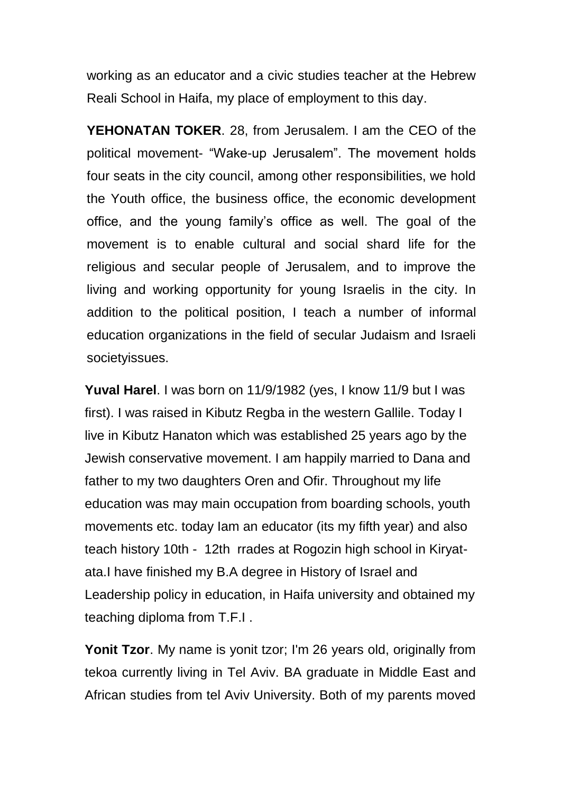working as an educator and a civic studies teacher at the Hebrew Reali School in Haifa, my place of employment to this day.

**YEHONATAN TOKER**. 28, from Jerusalem. I am the CEO of the political movement- "Wake-up Jerusalem". The movement holds four seats in the city council, among other responsibilities, we hold the Youth office, the business office, the economic development office, and the young family's office as well. The goal of the movement is to enable cultural and social shard life for the religious and secular people of Jerusalem, and to improve the living and working opportunity for young Israelis in the city. In addition to the political position, I teach a number of informal education organizations in the field of secular Judaism and Israeli societyissues.

**Yuval Harel**. I was born on 11/9/1982 (yes, I know 11/9 but I was first). I was raised in Kibutz Regba in the western Gallile. Today I live in Kibutz Hanaton which was established 25 years ago by the Jewish conservative movement. I am happily married to Dana and father to my two daughters Oren and Ofir. Throughout my life education was may main occupation from boarding schools, youth movements etc. today Iam an educator (its my fifth year) and also teach history 10th - 12th rrades at Rogozin high school in Kiryatata.I have finished my B.A degree in History of Israel and Leadership policy in education, in Haifa university and obtained my teaching diploma from T.F.I .

**Yonit Tzor.** My name is yonit tzor; I'm 26 years old, originally from tekoa currently living in Tel Aviv. BA graduate in Middle East and African studies from tel Aviv University. Both of my parents moved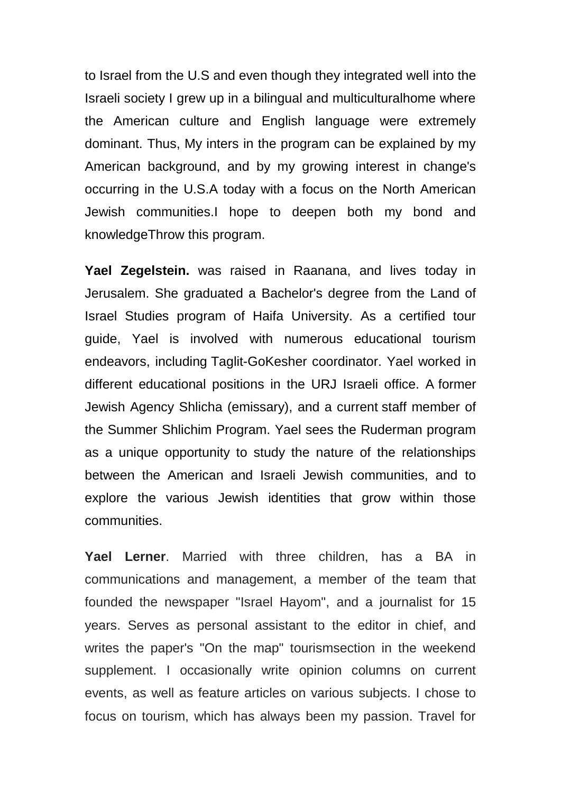to Israel from the U.S and even though they integrated well into the Israeli society I grew up in a bilingual and multiculturalhome where the American culture and English language were extremely dominant. Thus, My inters in the program can be explained by my American background, and by my growing interest in change's occurring in the U.S.A today with a focus on the North American Jewish communities.I hope to deepen both my bond and knowledgeThrow this program.

**Yael Zegelstein.** was raised in Raanana, and lives today in Jerusalem. She graduated a Bachelor's degree from the Land of Israel Studies program of Haifa University. As a certified tour guide, Yael is involved with numerous educational tourism endeavors, including Taglit-GoKesher coordinator. Yael worked in different educational positions in the URJ Israeli office. A former Jewish Agency Shlicha (emissary), and a current staff member of the Summer Shlichim Program. Yael sees the Ruderman program as a unique opportunity to study the nature of the relationships between the American and Israeli Jewish communities, and to explore the various Jewish identities that grow within those communities.

**Yael Lerner**. Married with three children, has a BA in communications and management, a member of the team that founded the newspaper "Israel Hayom", and a journalist for 15 years. Serves as personal assistant to the editor in chief, and writes the paper's "On the map" tourismsection in the weekend supplement. I occasionally write opinion columns on current events, as well as feature articles on various subjects. I chose to focus on tourism, which has always been my passion. Travel for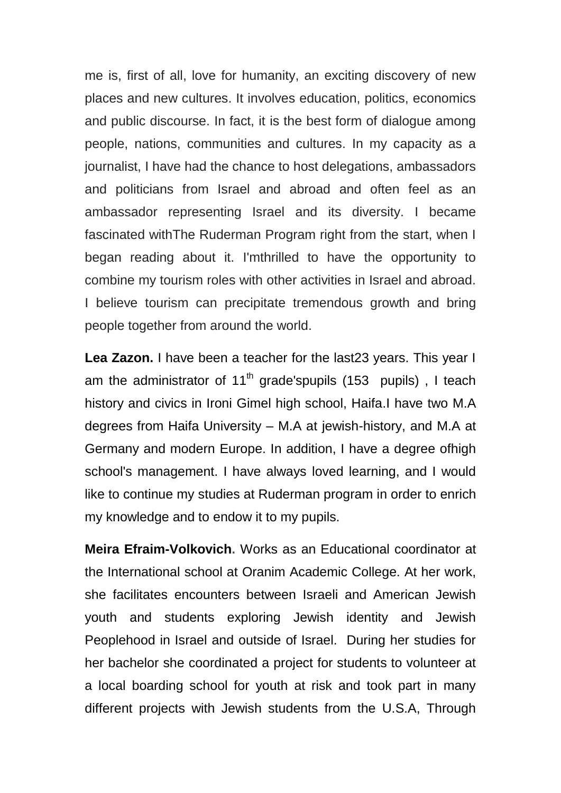me is, first of all, love for humanity, an exciting discovery of new places and new cultures. It involves education, politics, economics and public discourse. In fact, it is the best form of dialogue among people, nations, communities and cultures. In my capacity as a journalist, I have had the chance to host delegations, ambassadors and politicians from Israel and abroad and often feel as an ambassador representing Israel and its diversity. I became fascinated withThe Ruderman Program right from the start, when I began reading about it. I'mthrilled to have the opportunity to combine my tourism roles with other activities in Israel and abroad. I believe tourism can precipitate tremendous growth and bring people together from around the world.

**Lea Zazon.** I have been a teacher for the last23 years. This year I am the administrator of  $11<sup>th</sup>$  grade'spupils (153 pupils), I teach history and civics in Ironi Gimel high school, Haifa.I have two M.A degrees from Haifa University – M.A at jewish-history, and M.A at Germany and modern Europe. In addition, I have a degree ofhigh school's management. I have always loved learning, and I would like to continue my studies at Ruderman program in order to enrich my knowledge and to endow it to my pupils.

**Meira Efraim-Volkovich.** Works as an Educational coordinator at the International school at Oranim Academic College. At her work, she facilitates encounters between Israeli and American Jewish youth and students exploring Jewish identity and Jewish Peoplehood in Israel and outside of Israel. During her studies for her bachelor she coordinated a project for students to volunteer at a local boarding school for youth at risk and took part in many different projects with Jewish students from the U.S.A, Through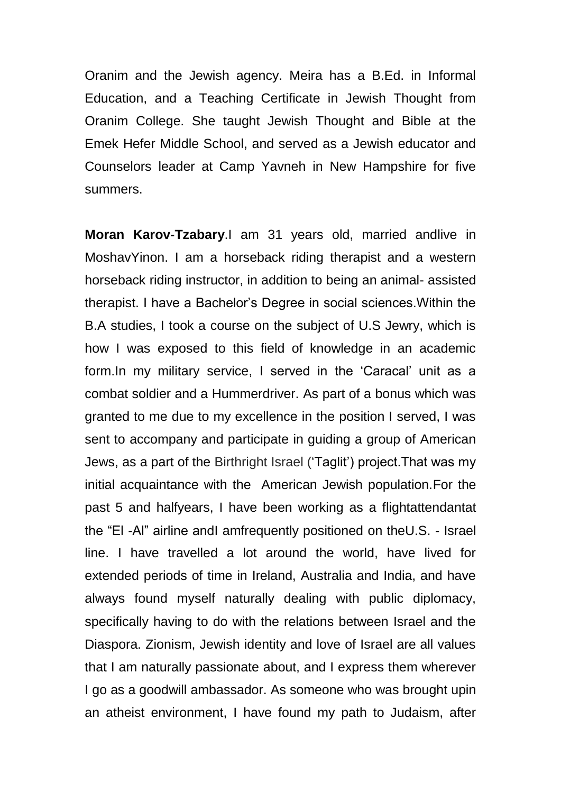Oranim and the Jewish agency. Meira has a B.Ed. in Informal Education, and a Teaching Certificate in Jewish Thought from Oranim College. She taught Jewish Thought and Bible at the Emek Hefer Middle School, and served as a Jewish educator and Counselors leader at Camp Yavneh in New Hampshire for five summers.

**Moran Karov-Tzabary**.I am 31 years old, married andlive in MoshavYinon. I am a horseback riding therapist and a western horseback riding instructor, in addition to being an animal- assisted therapist. I have a Bachelor's Degree in social sciences.Within the B.A studies, I took a course on the subject of U.S Jewry, which is how I was exposed to this field of knowledge in an academic form.In my military service, I served in the 'Caracal' unit as a combat soldier and a Hummerdriver. As part of a bonus which was granted to me due to my excellence in the position I served, I was sent to accompany and participate in guiding a group of American Jews, as a part of the Birthright Israel ('Taglit') project.That was my initial acquaintance with the American Jewish population.For the past 5 and halfyears, I have been working as a flightattendantat the "El -Al" airline andI amfrequently positioned on theU.S. - Israel line. I have travelled a lot around the world, have lived for extended periods of time in Ireland, Australia and India, and have always found myself naturally dealing with public diplomacy, specifically having to do with the relations between Israel and the Diaspora. Zionism, Jewish identity and love of Israel are all values that I am naturally passionate about, and I express them wherever I go as a goodwill ambassador. As someone who was brought upin an atheist environment, I have found my path to Judaism, after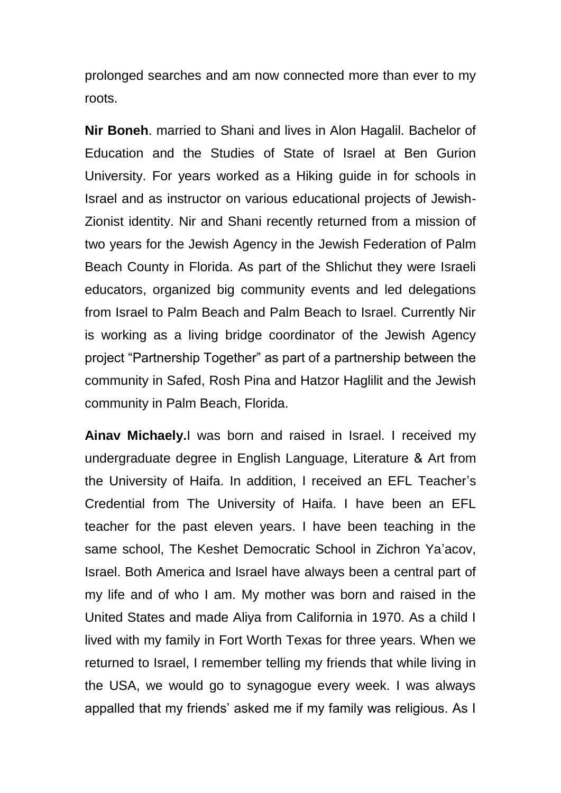prolonged searches and am now connected more than ever to my roots.

**Nir Boneh**. married to Shani and lives in Alon Hagalil. Bachelor of Education and the Studies of State of Israel at Ben Gurion University. For years worked as a Hiking guide in for schools in Israel and as instructor on various educational projects of Jewish-Zionist identity. Nir and Shani recently returned from a mission of two years for the Jewish Agency in the Jewish Federation of Palm Beach County in Florida. As part of the Shlichut they were Israeli educators, organized big community events and led delegations from Israel to Palm Beach and Palm Beach to Israel. Currently Nir is working as a living bridge coordinator of the Jewish Agency project "Partnership Together" as part of a partnership between the community in Safed, Rosh Pina and Hatzor Haglilit and the Jewish community in Palm Beach, Florida.

**Ainav Michaely.**I was born and raised in Israel. I received my undergraduate degree in English Language, Literature & Art from the University of Haifa. In addition, I received an EFL Teacher's Credential from The University of Haifa. I have been an EFL teacher for the past eleven years. I have been teaching in the same school, The Keshet Democratic School in Zichron Ya'acov, Israel. Both America and Israel have always been a central part of my life and of who I am. My mother was born and raised in the United States and made Aliya from California in 1970. As a child I lived with my family in Fort Worth Texas for three years. When we returned to Israel, I remember telling my friends that while living in the USA, we would go to synagogue every week. I was always appalled that my friends' asked me if my family was religious. As I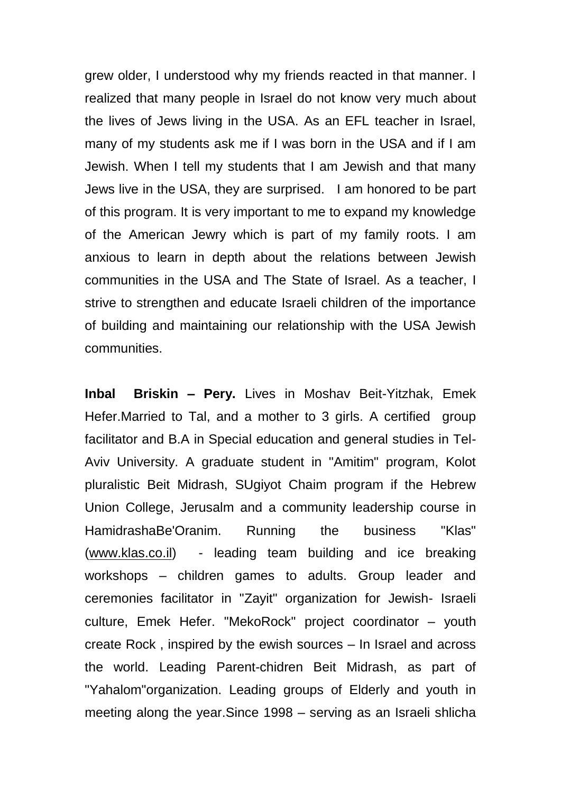grew older, I understood why my friends reacted in that manner. I realized that many people in Israel do not know very much about the lives of Jews living in the USA. As an EFL teacher in Israel, many of my students ask me if I was born in the USA and if I am Jewish. When I tell my students that I am Jewish and that many Jews live in the USA, they are surprised. I am honored to be part of this program. It is very important to me to expand my knowledge of the American Jewry which is part of my family roots. I am anxious to learn in depth about the relations between Jewish communities in the USA and The State of Israel. As a teacher, I strive to strengthen and educate Israeli children of the importance of building and maintaining our relationship with the USA Jewish communities.

**Inbal Briskin – Pery.** Lives in Moshav Beit-Yitzhak, Emek Hefer.Married to Tal, and a mother to 3 girls. A certified group facilitator and B.A in Special education and general studies in Tel-Aviv University. A graduate student in "Amitim" program, Kolot pluralistic Beit Midrash, SUgiyot Chaim program if the Hebrew Union College, Jerusalm and a community leadership course in HamidrashaBe'Oranim. Running the business "Klas" [\(www.klas.co.il\)](http://www.klas.co.il/) - leading team building and ice breaking workshops – children games to adults. Group leader and ceremonies facilitator in "Zayit" organization for Jewish- Israeli culture, Emek Hefer. "MekoRock" project coordinator – youth create Rock , inspired by the ewish sources – In Israel and across the world. Leading Parent-chidren Beit Midrash, as part of "Yahalom"organization. Leading groups of Elderly and youth in meeting along the year.Since 1998 – serving as an Israeli shlicha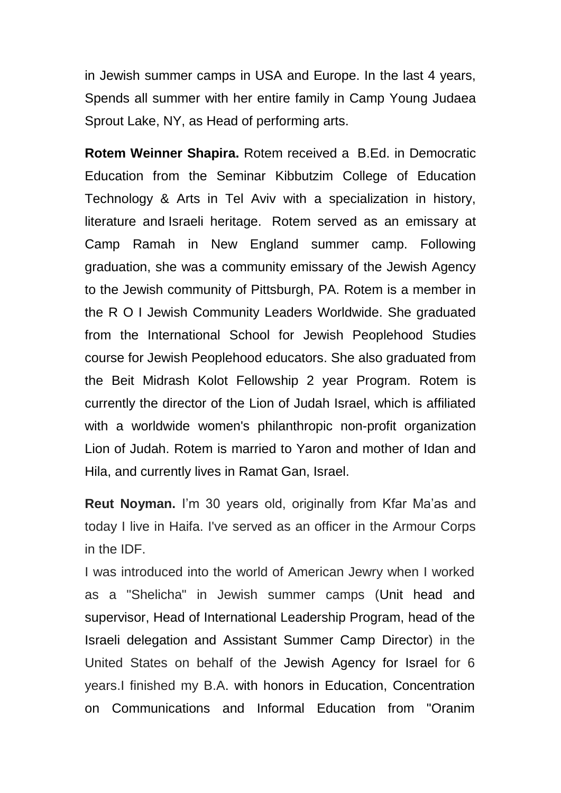in Jewish summer camps in USA and Europe. In the last 4 years, Spends all summer with her entire family in Camp Young Judaea Sprout Lake, NY, as Head of performing arts.

**Rotem Weinner Shapira.** Rotem received a B.Ed. in Democratic Education from the Seminar Kibbutzim College of Education Technology & Arts in Tel Aviv with a specialization in history, literature and Israeli heritage. Rotem served as an emissary at Camp Ramah in New England summer camp. Following graduation, she was a community emissary of the Jewish Agency to the Jewish community of Pittsburgh, PA. Rotem is a member in the R O I Jewish Community Leaders Worldwide. She graduated from the International School for Jewish Peoplehood Studies course for Jewish Peoplehood educators. She also graduated from the Beit Midrash Kolot Fellowship 2 year Program. Rotem is currently the director of the Lion of Judah Israel, which is affiliated with a worldwide women's philanthropic non-profit organization Lion of Judah. Rotem is married to Yaron and mother of Idan and Hila, and currently lives in Ramat Gan, Israel.

**Reut Noyman.** I'm 30 years old, originally from Kfar Ma'as and today I live in Haifa. I've served as an officer in the Armour Corps in the IDF.

I was introduced into the world of American Jewry when I worked as a "Shelicha" in Jewish summer camps (Unit head and supervisor, Head of International Leadership Program, head of the Israeli delegation and Assistant Summer Camp Director) in the United States on behalf of the Jewish Agency for Israel for 6 years.I finished my B.A. with honors in Education, Concentration on Communications and Informal Education from "Oranim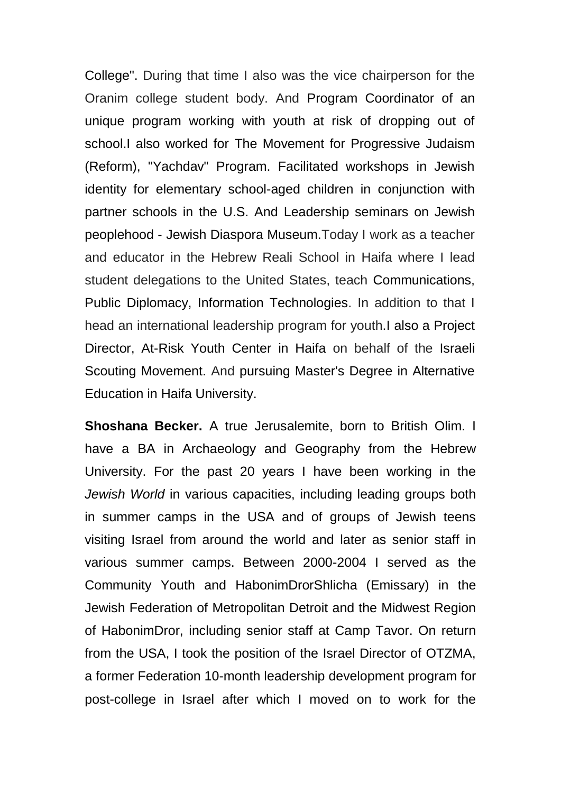College". During that time I also was the vice chairperson for the Oranim college student body. And Program Coordinator of an unique program working with youth at risk of dropping out of school.I also worked for The Movement for Progressive Judaism (Reform), "Yachdav" Program. Facilitated workshops in Jewish identity for elementary school-aged children in conjunction with partner schools in the U.S. And Leadership seminars on Jewish peoplehood - Jewish Diaspora Museum.Today I work as a teacher and educator in the Hebrew Reali School in Haifa where I lead student delegations to the United States, teach Communications, Public Diplomacy, Information Technologies. In addition to that I head an international leadership program for youth.I also a Project Director, At-Risk Youth Center in Haifa on behalf of the Israeli Scouting Movement. And pursuing Master's Degree in Alternative Education in Haifa University.

**Shoshana Becker.** A true Jerusalemite, born to British Olim. I have a BA in Archaeology and Geography from the Hebrew University. For the past 20 years I have been working in the *Jewish World* in various capacities, including leading groups both in summer camps in the USA and of groups of Jewish teens visiting Israel from around the world and later as senior staff in various summer camps. Between 2000-2004 I served as the Community Youth and HabonimDrorShlicha (Emissary) in the Jewish Federation of Metropolitan Detroit and the Midwest Region of HabonimDror, including senior staff at Camp Tavor. On return from the USA, I took the position of the Israel Director of OTZMA, a former Federation 10-month leadership development program for post-college in Israel after which I moved on to work for the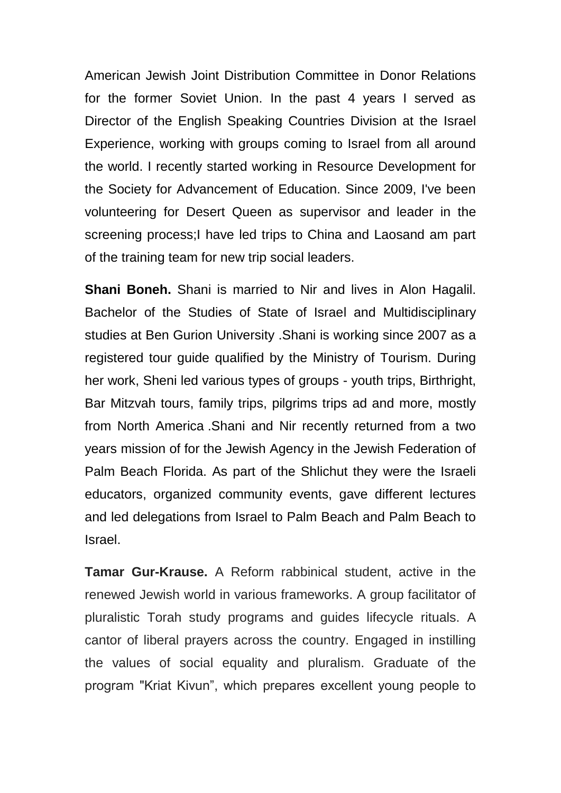American Jewish Joint Distribution Committee in Donor Relations for the former Soviet Union. In the past 4 years I served as Director of the English Speaking Countries Division at the Israel Experience, working with groups coming to Israel from all around the world. I recently started working in Resource Development for the Society for Advancement of Education. Since 2009, I've been volunteering for Desert Queen as supervisor and leader in the screening process;I have led trips to China and Laosand am part of the training team for new trip social leaders.

**Shani Boneh.** Shani is married to Nir and lives in Alon Hagalil. Bachelor of the Studies of State of Israel and Multidisciplinary studies at Ben Gurion University .Shani is working since 2007 as a registered tour guide qualified by the Ministry of Tourism. During her work, Sheni led various types of groups - youth trips, Birthright, Bar Mitzvah tours, family trips, pilgrims trips ad and more, mostly from North America .Shani and Nir recently returned from a two years mission of for the Jewish Agency in the Jewish Federation of Palm Beach Florida. As part of the Shlichut they were the Israeli educators, organized community events, gave different lectures and led delegations from Israel to Palm Beach and Palm Beach to Israel.

**Tamar Gur-Krause.** A Reform rabbinical student, active in the renewed Jewish world in various frameworks. A group facilitator of pluralistic Torah study programs and guides lifecycle rituals. A cantor of liberal prayers across the country. Engaged in instilling the values of social equality and pluralism. Graduate of the program "Kriat Kivun", which prepares excellent young people to